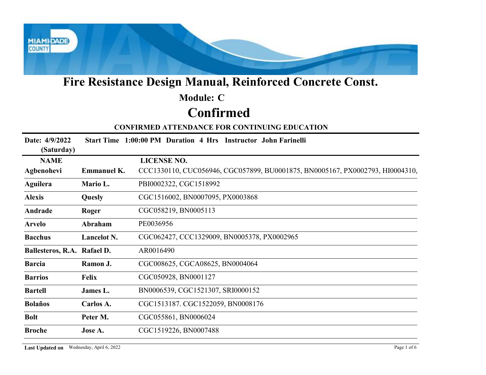

### Confirmed Module: C

| <b>Module: C</b><br><b>Confirmed</b><br><b>CONFIRMED ATTENDANCE FOR CONTINUING EDUCATION</b><br>Date: 4/9/2022<br>Start Time 1:00:00 PM Duration 4 Hrs Instructor John Farinelli<br>(Saturday)<br><b>LICENSE NO.</b><br><b>NAME</b><br>CCC1330110, CUC056946, CGC057899, BU0001875, BN0005167, PX0002793, HI0004310,<br>Agbenohevi<br><b>Emmanuel K.</b><br>PBI0002322, CGC1518992<br><b>Aguilera</b><br>Mario L.<br>CGC1516002, BN0007095, PX0003868<br><b>Alexis</b><br>Quesly<br>CGC058219, BN0005113<br>Andrade<br>Roger<br>PE0036956<br>Abraham<br><b>Arvelo</b><br><b>Bacchus</b><br>Lancelot N.<br>CGC062427, CCC1329009, BN0005378, PX0002965<br>Ballesteros, R.A. Rafael D.<br>AR0016490<br>CGC008625, CGCA08625, BN0004064<br><b>Barcia</b><br>Ramon J.<br>CGC050928, BN0001127<br><b>Barrios</b><br><b>Felix</b><br>BN0006539, CGC1521307, SRI0000152<br><b>Bartell</b><br>James L.<br>CGC1513187. CGC1522059, BN0008176<br>Carlos A.<br><b>Bolaños</b><br>CGC055861, BN0006024<br><b>Bolt</b><br>Peter M.<br>CGC1519226, BN0007488<br><b>Broche</b><br>Jose A. |  | Fire Resistance Design Manual, Reinforced Concrete Const. |
|----------------------------------------------------------------------------------------------------------------------------------------------------------------------------------------------------------------------------------------------------------------------------------------------------------------------------------------------------------------------------------------------------------------------------------------------------------------------------------------------------------------------------------------------------------------------------------------------------------------------------------------------------------------------------------------------------------------------------------------------------------------------------------------------------------------------------------------------------------------------------------------------------------------------------------------------------------------------------------------------------------------------------------------------------------------------------|--|-----------------------------------------------------------|
|                                                                                                                                                                                                                                                                                                                                                                                                                                                                                                                                                                                                                                                                                                                                                                                                                                                                                                                                                                                                                                                                            |  |                                                           |
|                                                                                                                                                                                                                                                                                                                                                                                                                                                                                                                                                                                                                                                                                                                                                                                                                                                                                                                                                                                                                                                                            |  |                                                           |
|                                                                                                                                                                                                                                                                                                                                                                                                                                                                                                                                                                                                                                                                                                                                                                                                                                                                                                                                                                                                                                                                            |  |                                                           |
|                                                                                                                                                                                                                                                                                                                                                                                                                                                                                                                                                                                                                                                                                                                                                                                                                                                                                                                                                                                                                                                                            |  |                                                           |
|                                                                                                                                                                                                                                                                                                                                                                                                                                                                                                                                                                                                                                                                                                                                                                                                                                                                                                                                                                                                                                                                            |  |                                                           |
|                                                                                                                                                                                                                                                                                                                                                                                                                                                                                                                                                                                                                                                                                                                                                                                                                                                                                                                                                                                                                                                                            |  |                                                           |
|                                                                                                                                                                                                                                                                                                                                                                                                                                                                                                                                                                                                                                                                                                                                                                                                                                                                                                                                                                                                                                                                            |  |                                                           |
|                                                                                                                                                                                                                                                                                                                                                                                                                                                                                                                                                                                                                                                                                                                                                                                                                                                                                                                                                                                                                                                                            |  |                                                           |
|                                                                                                                                                                                                                                                                                                                                                                                                                                                                                                                                                                                                                                                                                                                                                                                                                                                                                                                                                                                                                                                                            |  |                                                           |
|                                                                                                                                                                                                                                                                                                                                                                                                                                                                                                                                                                                                                                                                                                                                                                                                                                                                                                                                                                                                                                                                            |  |                                                           |
|                                                                                                                                                                                                                                                                                                                                                                                                                                                                                                                                                                                                                                                                                                                                                                                                                                                                                                                                                                                                                                                                            |  |                                                           |
|                                                                                                                                                                                                                                                                                                                                                                                                                                                                                                                                                                                                                                                                                                                                                                                                                                                                                                                                                                                                                                                                            |  |                                                           |
|                                                                                                                                                                                                                                                                                                                                                                                                                                                                                                                                                                                                                                                                                                                                                                                                                                                                                                                                                                                                                                                                            |  |                                                           |
|                                                                                                                                                                                                                                                                                                                                                                                                                                                                                                                                                                                                                                                                                                                                                                                                                                                                                                                                                                                                                                                                            |  |                                                           |
|                                                                                                                                                                                                                                                                                                                                                                                                                                                                                                                                                                                                                                                                                                                                                                                                                                                                                                                                                                                                                                                                            |  |                                                           |
|                                                                                                                                                                                                                                                                                                                                                                                                                                                                                                                                                                                                                                                                                                                                                                                                                                                                                                                                                                                                                                                                            |  |                                                           |
|                                                                                                                                                                                                                                                                                                                                                                                                                                                                                                                                                                                                                                                                                                                                                                                                                                                                                                                                                                                                                                                                            |  |                                                           |
|                                                                                                                                                                                                                                                                                                                                                                                                                                                                                                                                                                                                                                                                                                                                                                                                                                                                                                                                                                                                                                                                            |  |                                                           |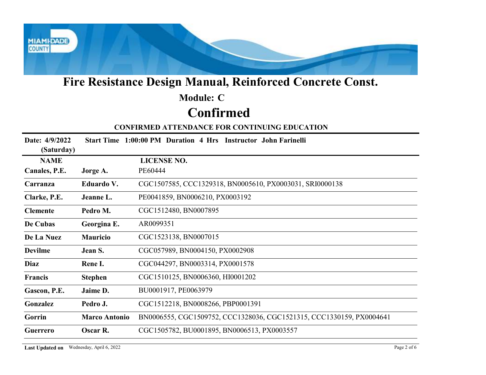

### Confirmed Module: C

|                              |                      | Fire Resistance Design Manual, Reinforced Concrete Const.            |
|------------------------------|----------------------|----------------------------------------------------------------------|
|                              |                      | <b>Module: C</b>                                                     |
|                              |                      | <b>Confirmed</b>                                                     |
|                              |                      | <b>CONFIRMED ATTENDANCE FOR CONTINUING EDUCATION</b>                 |
| Date: 4/9/2022<br>(Saturday) |                      | Start Time 1:00:00 PM Duration 4 Hrs Instructor John Farinelli       |
| <b>NAME</b>                  |                      | <b>LICENSE NO.</b>                                                   |
| Canales, P.E.                | Jorge A.             | PE60444                                                              |
| Carranza                     | Eduardo V.           | CGC1507585, CCC1329318, BN0005610, PX0003031, SRI0000138             |
| Clarke, P.E.                 | Jeanne L.            | PE0041859, BN0006210, PX0003192                                      |
| <b>Clemente</b>              | Pedro M.             | CGC1512480, BN0007895                                                |
| De Cubas                     | Georgina E.          | AR0099351                                                            |
| De La Nuez                   | Mauricio             | CGC1523138, BN0007015                                                |
| <b>Devilme</b>               | Jean S.              | CGC057989, BN0004150, PX0002908                                      |
| Diaz                         | Rene I.              | CGC044297, BN0003314, PX0001578                                      |
| Francis                      | <b>Stephen</b>       | CGC1510125, BN0006360, HI0001202                                     |
| Gascon, P.E.                 | Jaime D.             | BU0001917, PE0063979                                                 |
| Gonzalez                     | Pedro J.             | CGC1512218, BN0008266, PBP0001391                                    |
|                              | <b>Marco Antonio</b> | BN0006555, CGC1509752, CCC1328036, CGC1521315, CCC1330159, PX0004641 |
| Gorrin                       |                      |                                                                      |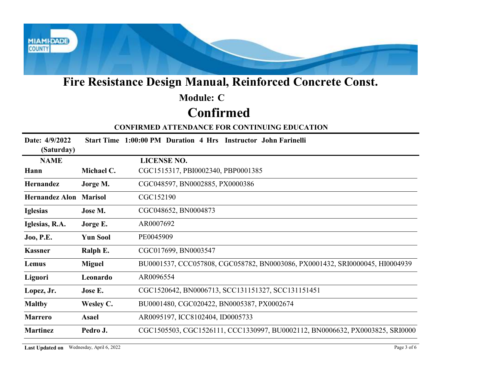

# Module: C

# Confirmed

| <b>Module: C</b><br>Confirmed<br><b>CONFIRMED ATTENDANCE FOR CONTINUING EDUCATION</b><br>Date: 4/9/2022<br>Start Time 1:00:00 PM Duration 4 Hrs Instructor John Farinelli<br>(Saturday)<br><b>LICENSE NO.</b><br><b>NAME</b><br>CGC1515317, PBI0002340, PBP0001385<br>Michael C.<br>Hann<br>CGC048597, BN0002885, PX0000386<br>Hernandez<br>Jorge M.<br>CGC152190<br><b>Hernandez Alon Marisol</b><br>CGC048652, BN0004873<br><b>Iglesias</b><br>Jose M.<br>AR0007692<br>Iglesias, R.A.<br>Jorge E.<br><b>Yun Sool</b><br>PE0045909<br><b>Joo, P.E.</b><br>CGC017699, BN0003547<br>Ralph E.<br><b>Kassner</b><br>BU0001537, CCC057808, CGC058782, BN0003086, PX0001432, SRI0000045, HI0004939<br><b>Miguel</b><br>Lemus<br>AR0096554<br>Leonardo<br>CGC1520642, BN0006713, SCC131151327, SCC131151451<br>Jose E.<br>Lopez, Jr.<br>BU0001480, CGC020422, BN0005387, PX0002674<br><b>Maltby</b><br>Wesley C.<br>AR0095197, ICC8102404, ID0005733<br><b>Marrero</b><br><b>Asael</b><br>CGC1505503, CGC1526111, CCC1330997, BU0002112, BN0006632, PX0003825, SRI0000<br><b>Martinez</b><br>Pedro J. |         | Fire Resistance Design Manual, Reinforced Concrete Const. |
|-------------------------------------------------------------------------------------------------------------------------------------------------------------------------------------------------------------------------------------------------------------------------------------------------------------------------------------------------------------------------------------------------------------------------------------------------------------------------------------------------------------------------------------------------------------------------------------------------------------------------------------------------------------------------------------------------------------------------------------------------------------------------------------------------------------------------------------------------------------------------------------------------------------------------------------------------------------------------------------------------------------------------------------------------------------------------------------------------|---------|-----------------------------------------------------------|
|                                                                                                                                                                                                                                                                                                                                                                                                                                                                                                                                                                                                                                                                                                                                                                                                                                                                                                                                                                                                                                                                                                 |         |                                                           |
|                                                                                                                                                                                                                                                                                                                                                                                                                                                                                                                                                                                                                                                                                                                                                                                                                                                                                                                                                                                                                                                                                                 |         |                                                           |
|                                                                                                                                                                                                                                                                                                                                                                                                                                                                                                                                                                                                                                                                                                                                                                                                                                                                                                                                                                                                                                                                                                 |         |                                                           |
|                                                                                                                                                                                                                                                                                                                                                                                                                                                                                                                                                                                                                                                                                                                                                                                                                                                                                                                                                                                                                                                                                                 |         |                                                           |
|                                                                                                                                                                                                                                                                                                                                                                                                                                                                                                                                                                                                                                                                                                                                                                                                                                                                                                                                                                                                                                                                                                 |         |                                                           |
|                                                                                                                                                                                                                                                                                                                                                                                                                                                                                                                                                                                                                                                                                                                                                                                                                                                                                                                                                                                                                                                                                                 |         |                                                           |
|                                                                                                                                                                                                                                                                                                                                                                                                                                                                                                                                                                                                                                                                                                                                                                                                                                                                                                                                                                                                                                                                                                 |         |                                                           |
|                                                                                                                                                                                                                                                                                                                                                                                                                                                                                                                                                                                                                                                                                                                                                                                                                                                                                                                                                                                                                                                                                                 |         |                                                           |
|                                                                                                                                                                                                                                                                                                                                                                                                                                                                                                                                                                                                                                                                                                                                                                                                                                                                                                                                                                                                                                                                                                 |         |                                                           |
|                                                                                                                                                                                                                                                                                                                                                                                                                                                                                                                                                                                                                                                                                                                                                                                                                                                                                                                                                                                                                                                                                                 |         |                                                           |
|                                                                                                                                                                                                                                                                                                                                                                                                                                                                                                                                                                                                                                                                                                                                                                                                                                                                                                                                                                                                                                                                                                 |         |                                                           |
|                                                                                                                                                                                                                                                                                                                                                                                                                                                                                                                                                                                                                                                                                                                                                                                                                                                                                                                                                                                                                                                                                                 |         |                                                           |
|                                                                                                                                                                                                                                                                                                                                                                                                                                                                                                                                                                                                                                                                                                                                                                                                                                                                                                                                                                                                                                                                                                 |         |                                                           |
|                                                                                                                                                                                                                                                                                                                                                                                                                                                                                                                                                                                                                                                                                                                                                                                                                                                                                                                                                                                                                                                                                                 | Liguori |                                                           |
|                                                                                                                                                                                                                                                                                                                                                                                                                                                                                                                                                                                                                                                                                                                                                                                                                                                                                                                                                                                                                                                                                                 |         |                                                           |
|                                                                                                                                                                                                                                                                                                                                                                                                                                                                                                                                                                                                                                                                                                                                                                                                                                                                                                                                                                                                                                                                                                 |         |                                                           |
|                                                                                                                                                                                                                                                                                                                                                                                                                                                                                                                                                                                                                                                                                                                                                                                                                                                                                                                                                                                                                                                                                                 |         |                                                           |
|                                                                                                                                                                                                                                                                                                                                                                                                                                                                                                                                                                                                                                                                                                                                                                                                                                                                                                                                                                                                                                                                                                 |         |                                                           |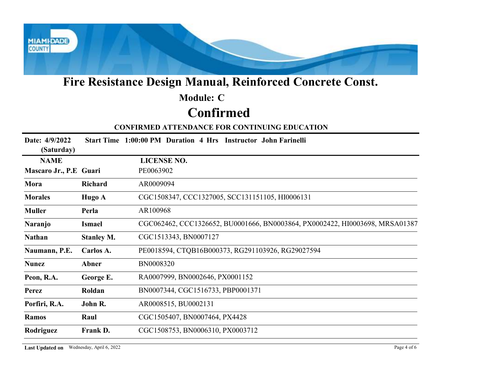

### Confirmed Module: C

| <b>Module: C</b><br><b>Confirmed</b><br><b>CONFIRMED ATTENDANCE FOR CONTINUING EDUCATION</b><br>Date: 4/9/2022<br>Start Time 1:00:00 PM Duration 4 Hrs Instructor John Farinelli<br>(Saturday)<br><b>LICENSE NO.</b><br><b>NAME</b><br>PE0063902<br>Mascaro Jr., P.E Guari<br>AR0009094<br>Richard<br>Mora<br>CGC1508347, CCC1327005, SCC131151105, HI0006131<br><b>Morales</b><br>Hugo A<br>AR100968<br><b>Muller</b><br>Perla<br>CGC062462, CCC1326652, BU0001666, BN0003864, PX0002422, HI0003698, MRSA01387<br>Naranjo<br><b>Ismael</b><br>CGC1513343, BN0007127<br><b>Nathan</b><br><b>Stanley M.</b><br>PE0018594, CTQB16B000373, RG291103926, RG29027594<br>Naumann, P.E.<br>Carlos A.<br>BN0008320<br><b>Nunez</b><br>Abner<br>RA0007999, BN0002646, PX0001152<br>Peon, R.A.<br>George E.<br>BN0007344, CGC1516733, PBP0001371<br>Roldan<br><b>Perez</b><br>AR0008515, BU0002131<br>Porfiri, R.A.<br>John R.<br>CGC1505407, BN0007464, PX4428<br>Raul<br><b>Ramos</b><br>Rodriguez<br>Frank D.<br>CGC1508753, BN0006310, PX0003712 |  | Fire Resistance Design Manual, Reinforced Concrete Const. |
|--------------------------------------------------------------------------------------------------------------------------------------------------------------------------------------------------------------------------------------------------------------------------------------------------------------------------------------------------------------------------------------------------------------------------------------------------------------------------------------------------------------------------------------------------------------------------------------------------------------------------------------------------------------------------------------------------------------------------------------------------------------------------------------------------------------------------------------------------------------------------------------------------------------------------------------------------------------------------------------------------------------------------------------------|--|-----------------------------------------------------------|
|                                                                                                                                                                                                                                                                                                                                                                                                                                                                                                                                                                                                                                                                                                                                                                                                                                                                                                                                                                                                                                            |  |                                                           |
|                                                                                                                                                                                                                                                                                                                                                                                                                                                                                                                                                                                                                                                                                                                                                                                                                                                                                                                                                                                                                                            |  |                                                           |
|                                                                                                                                                                                                                                                                                                                                                                                                                                                                                                                                                                                                                                                                                                                                                                                                                                                                                                                                                                                                                                            |  |                                                           |
|                                                                                                                                                                                                                                                                                                                                                                                                                                                                                                                                                                                                                                                                                                                                                                                                                                                                                                                                                                                                                                            |  |                                                           |
|                                                                                                                                                                                                                                                                                                                                                                                                                                                                                                                                                                                                                                                                                                                                                                                                                                                                                                                                                                                                                                            |  |                                                           |
|                                                                                                                                                                                                                                                                                                                                                                                                                                                                                                                                                                                                                                                                                                                                                                                                                                                                                                                                                                                                                                            |  |                                                           |
|                                                                                                                                                                                                                                                                                                                                                                                                                                                                                                                                                                                                                                                                                                                                                                                                                                                                                                                                                                                                                                            |  |                                                           |
|                                                                                                                                                                                                                                                                                                                                                                                                                                                                                                                                                                                                                                                                                                                                                                                                                                                                                                                                                                                                                                            |  |                                                           |
|                                                                                                                                                                                                                                                                                                                                                                                                                                                                                                                                                                                                                                                                                                                                                                                                                                                                                                                                                                                                                                            |  |                                                           |
|                                                                                                                                                                                                                                                                                                                                                                                                                                                                                                                                                                                                                                                                                                                                                                                                                                                                                                                                                                                                                                            |  |                                                           |
|                                                                                                                                                                                                                                                                                                                                                                                                                                                                                                                                                                                                                                                                                                                                                                                                                                                                                                                                                                                                                                            |  |                                                           |
|                                                                                                                                                                                                                                                                                                                                                                                                                                                                                                                                                                                                                                                                                                                                                                                                                                                                                                                                                                                                                                            |  |                                                           |
|                                                                                                                                                                                                                                                                                                                                                                                                                                                                                                                                                                                                                                                                                                                                                                                                                                                                                                                                                                                                                                            |  |                                                           |
|                                                                                                                                                                                                                                                                                                                                                                                                                                                                                                                                                                                                                                                                                                                                                                                                                                                                                                                                                                                                                                            |  |                                                           |
|                                                                                                                                                                                                                                                                                                                                                                                                                                                                                                                                                                                                                                                                                                                                                                                                                                                                                                                                                                                                                                            |  |                                                           |
|                                                                                                                                                                                                                                                                                                                                                                                                                                                                                                                                                                                                                                                                                                                                                                                                                                                                                                                                                                                                                                            |  |                                                           |
|                                                                                                                                                                                                                                                                                                                                                                                                                                                                                                                                                                                                                                                                                                                                                                                                                                                                                                                                                                                                                                            |  |                                                           |
|                                                                                                                                                                                                                                                                                                                                                                                                                                                                                                                                                                                                                                                                                                                                                                                                                                                                                                                                                                                                                                            |  |                                                           |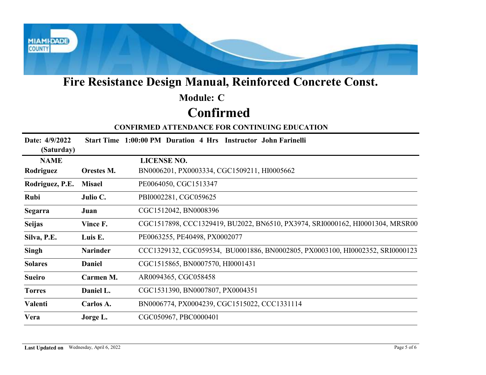

### Confirmed Module: C

|                              |                 | Fire Resistance Design Manual, Reinforced Concrete Const.                     |
|------------------------------|-----------------|-------------------------------------------------------------------------------|
|                              |                 | <b>Module: C</b>                                                              |
|                              |                 | <b>Confirmed</b>                                                              |
|                              |                 | <b>CONFIRMED ATTENDANCE FOR CONTINUING EDUCATION</b>                          |
| Date: 4/9/2022<br>(Saturday) |                 | Start Time 1:00:00 PM Duration 4 Hrs Instructor John Farinelli                |
| <b>NAME</b>                  |                 | <b>LICENSE NO.</b>                                                            |
| Rodriguez                    | Orestes M.      | BN0006201, PX0003334, CGC1509211, HI0005662                                   |
| Rodriguez, P.E.              | <b>Misael</b>   | PE0064050, CGC1513347                                                         |
| Rubi                         | Julio C.        | PBI0002281, CGC059625                                                         |
| <b>Segarra</b>               | Juan            | CGC1512042, BN0008396                                                         |
| <b>Seijas</b>                | Vince F.        | CGC1517898, CCC1329419, BU2022, BN6510, PX3974, SRI0000162, HI0001304, MRSR00 |
| Silva, P.E.                  | Luis E.         | PE0063255, PE40498, PX0002077                                                 |
| Singh                        | <b>Narinder</b> | CCC1329132, CGC059534, BU0001886, BN0002805, PX0003100, HI0002352, SRI0000123 |
| <b>Solares</b>               | Daniel          | CGC1515865, BN0007570, HI0001431                                              |
| <b>Sueiro</b>                | Carmen M.       | AR0094365, CGC058458                                                          |
| <b>Torres</b>                | Daniel L.       | CGC1531390, BN0007807, PX0004351                                              |
| Valenti                      | Carlos A.       | BN0006774, PX0004239, CGC1515022, CCC1331114                                  |
| Vera                         | Jorge L.        | CGC050967, PBC0000401                                                         |